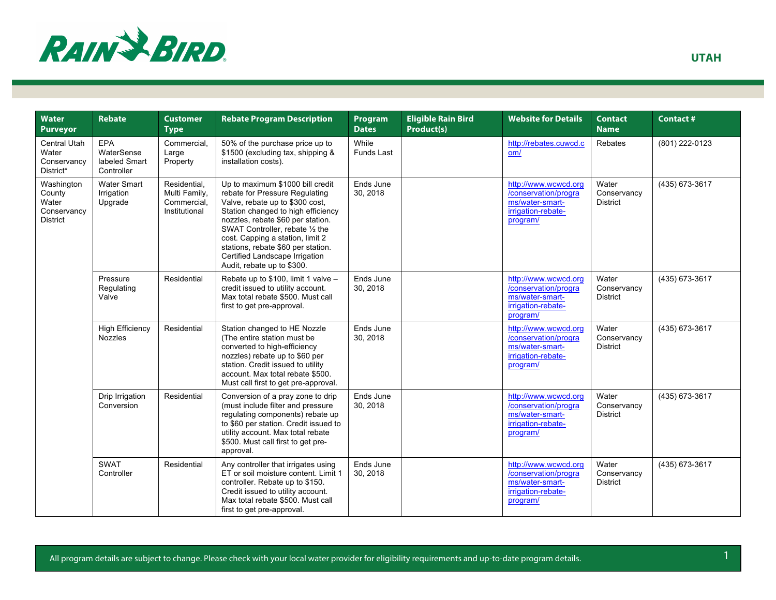

| <b>Water</b><br><b>Purveyor</b>                                 | <b>Rebate</b>                                    | <b>Customer</b><br><b>Type</b>                                | <b>Rebate Program Description</b>                                                                                                                                                                                                                                                                                                                             | Program<br><b>Dates</b>    | <b>Eligible Rain Bird</b><br>Product(s) | <b>Website for Details</b>                                                                        | <b>Contact</b><br><b>Name</b>           | <b>Contact#</b> |
|-----------------------------------------------------------------|--------------------------------------------------|---------------------------------------------------------------|---------------------------------------------------------------------------------------------------------------------------------------------------------------------------------------------------------------------------------------------------------------------------------------------------------------------------------------------------------------|----------------------------|-----------------------------------------|---------------------------------------------------------------------------------------------------|-----------------------------------------|-----------------|
| <b>Central Utah</b><br>Water<br>Conservancy<br>District*        | EPA<br>WaterSense<br>labeled Smart<br>Controller | Commercial.<br>Large<br>Property                              | 50% of the purchase price up to<br>\$1500 (excluding tax, shipping &<br>installation costs).                                                                                                                                                                                                                                                                  | While<br><b>Funds Last</b> |                                         | http://rebates.cuwcd.c<br>om/                                                                     | Rebates                                 | (801) 222-0123  |
| Washington<br>County<br>Water<br>Conservancy<br><b>District</b> | <b>Water Smart</b><br>Irrigation<br>Upgrade      | Residential,<br>Multi Family,<br>Commercial,<br>Institutional | Up to maximum \$1000 bill credit<br>rebate for Pressure Regulating<br>Valve, rebate up to \$300 cost,<br>Station changed to high efficiency<br>nozzles, rebate \$60 per station.<br>SWAT Controller, rebate 1/2 the<br>cost. Capping a station, limit 2<br>stations, rebate \$60 per station.<br>Certified Landscape Irrigation<br>Audit, rebate up to \$300. | Ends June<br>30, 2018      |                                         | http://www.wcwcd.org<br>/conservation/progra<br>ms/water-smart-<br>irrigation-rebate-<br>program/ | Water<br>Conservancy<br><b>District</b> | (435) 673-3617  |
|                                                                 | Pressure<br>Regulating<br>Valve                  | Residential                                                   | Rebate up to \$100, limit 1 valve -<br>credit issued to utility account.<br>Max total rebate \$500. Must call<br>first to get pre-approval.                                                                                                                                                                                                                   | Ends June<br>30, 2018      |                                         | http://www.wcwcd.org<br>/conservation/progra<br>ms/water-smart-<br>irrigation-rebate-<br>program/ | Water<br>Conservancy<br><b>District</b> | (435) 673-3617  |
|                                                                 | <b>High Efficiency</b><br><b>Nozzles</b>         | Residential                                                   | Station changed to HE Nozzle<br>(The entire station must be<br>converted to high-efficiency<br>nozzles) rebate up to \$60 per<br>station. Credit issued to utility<br>account. Max total rebate \$500.<br>Must call first to get pre-approval.                                                                                                                | Ends June<br>30, 2018      |                                         | http://www.wcwcd.org<br>/conservation/progra<br>ms/water-smart-<br>irrigation-rebate-<br>program/ | Water<br>Conservancy<br><b>District</b> | (435) 673-3617  |
|                                                                 | Drip Irrigation<br>Conversion                    | Residential                                                   | Conversion of a pray zone to drip<br>(must include filter and pressure<br>regulating components) rebate up<br>to \$60 per station. Credit issued to<br>utility account. Max total rebate<br>\$500. Must call first to get pre-<br>approval.                                                                                                                   | Ends June<br>30, 2018      |                                         | http://www.wcwcd.org<br>/conservation/progra<br>ms/water-smart-<br>irrigation-rebate-<br>program/ | Water<br>Conservancy<br><b>District</b> | (435) 673-3617  |
|                                                                 | <b>SWAT</b><br>Controller                        | Residential                                                   | Any controller that irrigates using<br>ET or soil moisture content. Limit 1<br>controller. Rebate up to \$150.<br>Credit issued to utility account.<br>Max total rebate \$500. Must call<br>first to get pre-approval.                                                                                                                                        | Ends June<br>30, 2018      |                                         | http://www.wcwcd.org<br>/conservation/progra<br>ms/water-smart-<br>irrigation-rebate-<br>program/ | Water<br>Conservancy<br><b>District</b> | (435) 673-3617  |